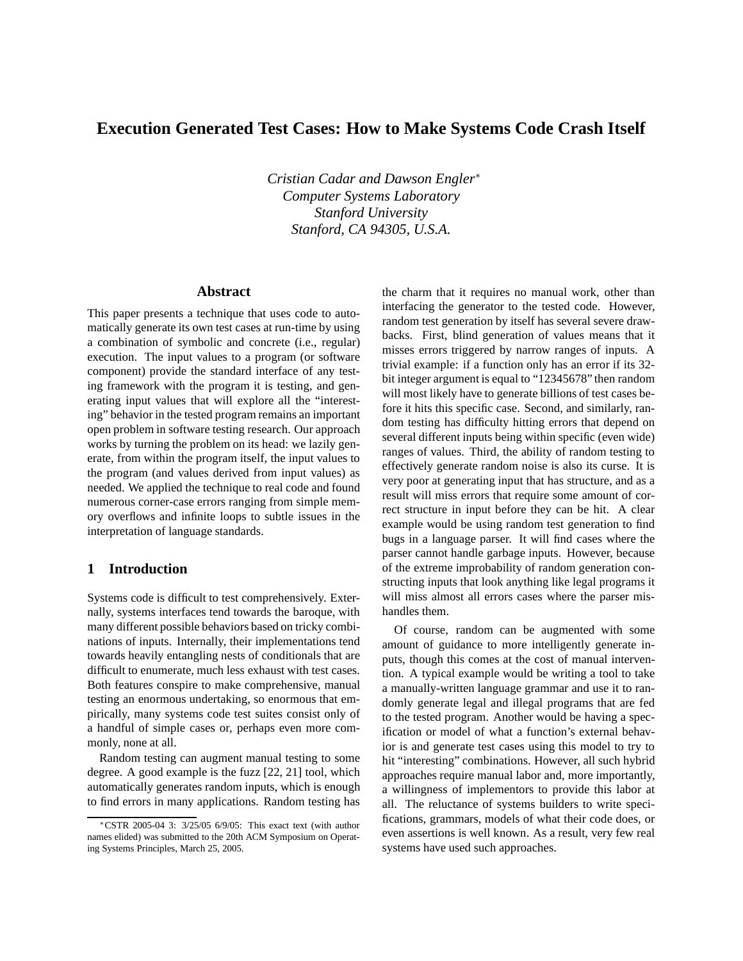# **Execution Generated Test Cases: How to Make Systems Code Crash Itself**

*Cristian Cadar and Dawson Engler*<sup>∗</sup> *Computer Systems Laboratory Stanford University Stanford, CA 94305, U.S.A.*

#### **Abstract**

This paper presents a technique that uses code to automatically generate its own test cases at run-time by using a combination of symbolic and concrete (i.e., regular) execution. The input values to a program (or software component) provide the standard interface of any testing framework with the program it is testing, and generating input values that will explore all the "interesting" behavior in the tested program remains an important open problem in software testing research. Our approach works by turning the problem on its head: we lazily generate, from within the program itself, the input values to the program (and values derived from input values) as needed. We applied the technique to real code and found numerous corner-case errors ranging from simple memory overflows and infinite loops to subtle issues in the interpretation of language standards.

### **1 Introduction**

Systems code is difficult to test comprehensively. Externally, systems interfaces tend towards the baroque, with many different possible behaviors based on tricky combinations of inputs. Internally, their implementations tend towards heavily entangling nests of conditionals that are difficult to enumerate, much less exhaust with test cases. Both features conspire to make comprehensive, manual testing an enormous undertaking, so enormous that empirically, many systems code test suites consist only of a handful of simple cases or, perhaps even more commonly, none at all.

Random testing can augment manual testing to some degree. A good example is the fuzz [22, 21] tool, which automatically generates random inputs, which is enough to find errors in many applications. Random testing has the charm that it requires no manual work, other than interfacing the generator to the tested code. However, random test generation by itself has several severe drawbacks. First, blind generation of values means that it misses errors triggered by narrow ranges of inputs. A trivial example: if a function only has an error if its 32 bit integer argument is equal to "12345678" then random will most likely have to generate billions of test cases before it hits this specific case. Second, and similarly, random testing has difficulty hitting errors that depend on several different inputs being within specific (even wide) ranges of values. Third, the ability of random testing to effectively generate random noise is also its curse. It is very poor at generating input that has structure, and as a result will miss errors that require some amount of correct structure in input before they can be hit. A clear example would be using random test generation to find bugs in a language parser. It will find cases where the parser cannot handle garbage inputs. However, because of the extreme improbability of random generation constructing inputs that look anything like legal programs it will miss almost all errors cases where the parser mishandles them.

Of course, random can be augmented with some amount of guidance to more intelligently generate inputs, though this comes at the cost of manual intervention. A typical example would be writing a tool to take a manually-written language grammar and use it to randomly generate legal and illegal programs that are fed to the tested program. Another would be having a specification or model of what a function's external behavior is and generate test cases using this model to try to hit "interesting" combinations. However, all such hybrid approaches require manual labor and, more importantly, a willingness of implementors to provide this labor at all. The reluctance of systems builders to write specifications, grammars, models of what their code does, or even assertions is well known. As a result, very few real systems have used such approaches.

<sup>∗</sup>CSTR 2005-04 3: 3/25/05 6/9/05: This exact text (with author names elided) was submitted to the 20th ACM Symposium on Operating Systems Principles, March 25, 2005.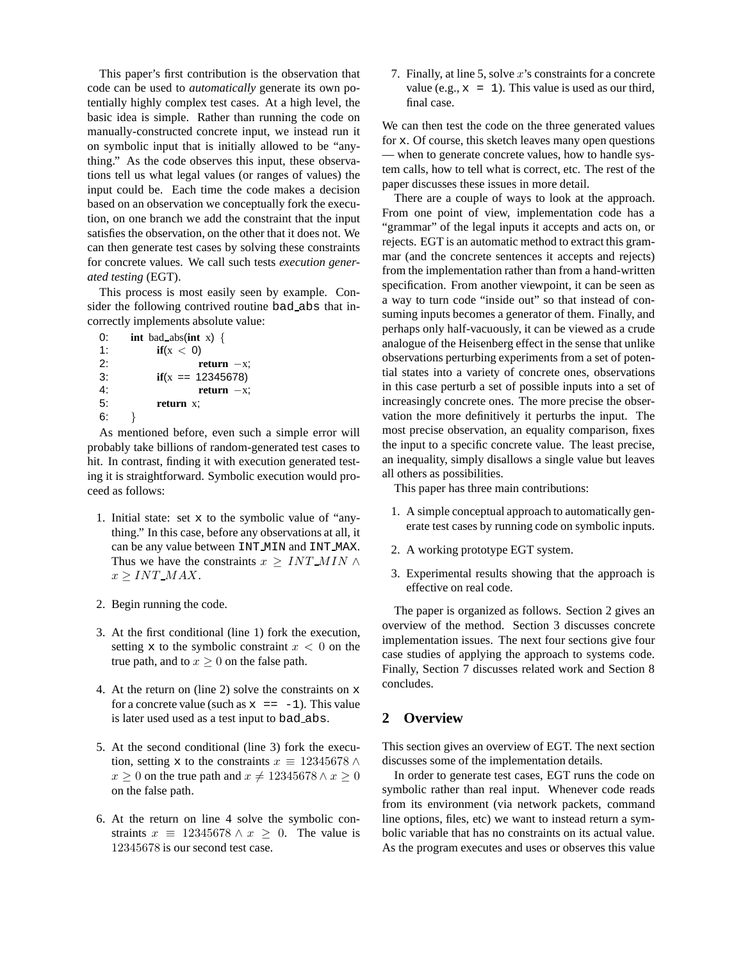This paper's first contribution is the observation that code can be used to *automatically* generate its own potentially highly complex test cases. At a high level, the basic idea is simple. Rather than running the code on manually-constructed concrete input, we instead run it on symbolic input that is initially allowed to be "anything." As the code observes this input, these observations tell us what legal values (or ranges of values) the input could be. Each time the code makes a decision based on an observation we conceptually fork the execution, on one branch we add the constraint that the input satisfies the observation, on the other that it does not. We can then generate test cases by solving these constraints for concrete values. We call such tests *execution generated testing* (EGT).

This process is most easily seen by example. Consider the following contrived routine bad abs that incorrectly implements absolute value:

| 0: | int bad abs(int x) { |
|----|----------------------|
| 1: | if(x < 0)            |
| 2: | $return -x.$         |
| 3: | $if(x == 12345678)$  |
| 4: | $return -x.$         |
| 5: | return x:            |
| 6: |                      |

As mentioned before, even such a simple error will probably take billions of random-generated test cases to hit. In contrast, finding it with execution generated testing it is straightforward. Symbolic execution would proceed as follows:

- 1. Initial state: set x to the symbolic value of "anything." In this case, before any observations at all, it can be any value between INT MIN and INT MAX. Thus we have the constraints  $x \geq INT\_MIN \wedge$  $x > INT\_MAX$ .
- 2. Begin running the code.
- 3. At the first conditional (line 1) fork the execution, setting x to the symbolic constraint  $x < 0$  on the true path, and to  $x \geq 0$  on the false path.
- 4. At the return on (line 2) solve the constraints on x for a concrete value (such as  $x = -1$ ). This value is later used used as a test input to bad abs.
- 5. At the second conditional (line 3) fork the execution, setting x to the constraints  $x \equiv 12345678 \land$  $x \ge 0$  on the true path and  $x \ne 12345678 \land x \ge 0$ on the false path.
- 6. At the return on line 4 solve the symbolic constraints  $x \equiv 12345678 \wedge x \geq 0$ . The value is 12345678 is our second test case.

7. Finally, at line 5, solve  $x$ 's constraints for a concrete value (e.g.,  $x = 1$ ). This value is used as our third, final case.

We can then test the code on the three generated values for x. Of course, this sketch leaves many open questions — when to generate concrete values, how to handle system calls, how to tell what is correct, etc. The rest of the paper discusses these issues in more detail.

There are a couple of ways to look at the approach. From one point of view, implementation code has a "grammar" of the legal inputs it accepts and acts on, or rejects. EGT is an automatic method to extract this grammar (and the concrete sentences it accepts and rejects) from the implementation rather than from a hand-written specification. From another viewpoint, it can be seen as a way to turn code "inside out" so that instead of consuming inputs becomes a generator of them. Finally, and perhaps only half-vacuously, it can be viewed as a crude analogue of the Heisenberg effect in the sense that unlike observations perturbing experiments from a set of potential states into a variety of concrete ones, observations in this case perturb a set of possible inputs into a set of increasingly concrete ones. The more precise the observation the more definitively it perturbs the input. The most precise observation, an equality comparison, fixes the input to a specific concrete value. The least precise, an inequality, simply disallows a single value but leaves all others as possibilities.

This paper has three main contributions:

- 1. A simple conceptual approach to automatically generate test cases by running code on symbolic inputs.
- 2. A working prototype EGT system.
- 3. Experimental results showing that the approach is effective on real code.

The paper is organized as follows. Section 2 gives an overview of the method. Section 3 discusses concrete implementation issues. The next four sections give four case studies of applying the approach to systems code. Finally, Section 7 discusses related work and Section 8 concludes.

#### **2 Overview**

This section gives an overview of EGT. The next section discusses some of the implementation details.

In order to generate test cases, EGT runs the code on symbolic rather than real input. Whenever code reads from its environment (via network packets, command line options, files, etc) we want to instead return a symbolic variable that has no constraints on its actual value. As the program executes and uses or observes this value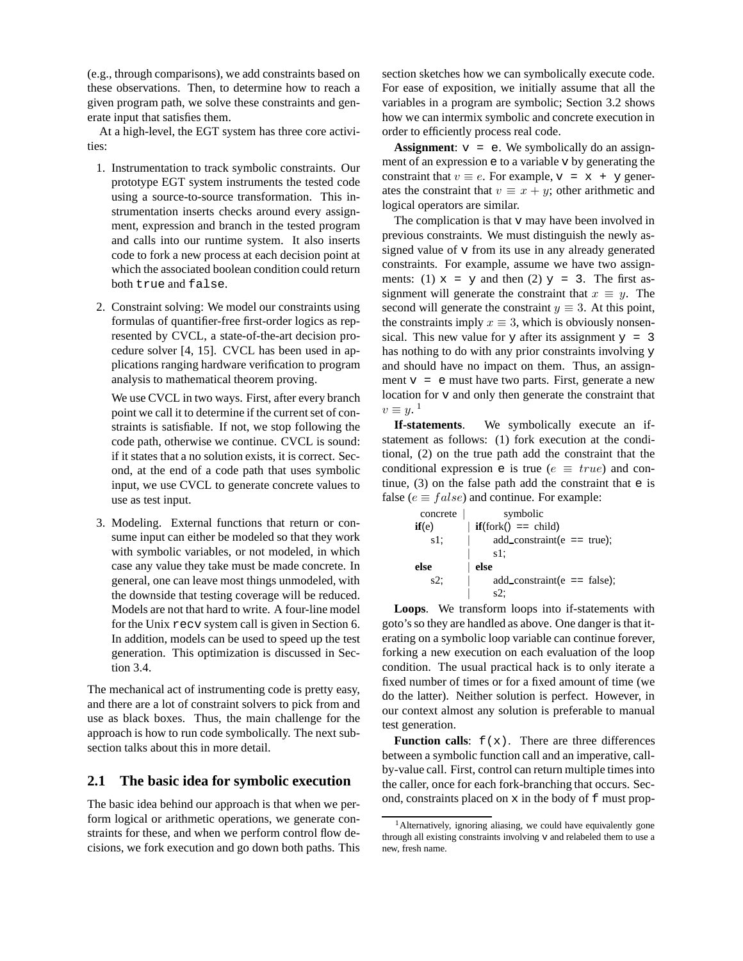(e.g., through comparisons), we add constraints based on these observations. Then, to determine how to reach a given program path, we solve these constraints and generate input that satisfies them.

At a high-level, the EGT system has three core activities:

- 1. Instrumentation to track symbolic constraints. Our prototype EGT system instruments the tested code using a source-to-source transformation. This instrumentation inserts checks around every assignment, expression and branch in the tested program and calls into our runtime system. It also inserts code to fork a new process at each decision point at which the associated boolean condition could return both true and false.
- 2. Constraint solving: We model our constraints using formulas of quantifier-free first-order logics as represented by CVCL, a state-of-the-art decision procedure solver [4, 15]. CVCL has been used in applications ranging hardware verification to program analysis to mathematical theorem proving.

We use CVCL in two ways. First, after every branch point we call it to determine if the current set of constraints is satisfiable. If not, we stop following the code path, otherwise we continue. CVCL is sound: if it states that a no solution exists, it is correct. Second, at the end of a code path that uses symbolic input, we use CVCL to generate concrete values to use as test input.

3. Modeling. External functions that return or consume input can either be modeled so that they work with symbolic variables, or not modeled, in which case any value they take must be made concrete. In general, one can leave most things unmodeled, with the downside that testing coverage will be reduced. Models are not that hard to write. A four-line model for the Unix recv system call is given in Section 6. In addition, models can be used to speed up the test generation. This optimization is discussed in Section 3.4.

The mechanical act of instrumenting code is pretty easy, and there are a lot of constraint solvers to pick from and use as black boxes. Thus, the main challenge for the approach is how to run code symbolically. The next subsection talks about this in more detail.

#### **2.1 The basic idea for symbolic execution**

The basic idea behind our approach is that when we perform logical or arithmetic operations, we generate constraints for these, and when we perform control flow decisions, we fork execution and go down both paths. This section sketches how we can symbolically execute code. For ease of exposition, we initially assume that all the variables in a program are symbolic; Section 3.2 shows how we can intermix symbolic and concrete execution in order to efficiently process real code.

**Assignment**:  $v = e$ . We symbolically do an assignment of an expression e to a variable v by generating the constraint that  $v \equiv e$ . For example,  $v = x + y$  generates the constraint that  $v \equiv x + y$ ; other arithmetic and logical operators are similar.

The complication is that v may have been involved in previous constraints. We must distinguish the newly assigned value of v from its use in any already generated constraints. For example, assume we have two assignments: (1)  $x = y$  and then (2)  $y = 3$ . The first assignment will generate the constraint that  $x \equiv y$ . The second will generate the constraint  $y \equiv 3$ . At this point, the constraints imply  $x \equiv 3$ , which is obviously nonsensical. This new value for y after its assignment  $y = 3$ has nothing to do with any prior constraints involving y and should have no impact on them. Thus, an assignment  $v = e$  must have two parts. First, generate a new location for v and only then generate the constraint that  $v \equiv y^{\frac{1}{2}}$ 

**If-statements**. We symbolically execute an ifstatement as follows: (1) fork execution at the conditional, (2) on the true path add the constraint that the conditional expression e is true ( $e \equiv true$ ) and continue,  $(3)$  on the false path add the constraint that  $e$  is false ( $e \equiv false$ ) and continue. For example:

| concrete | symbolic                               |
|----------|----------------------------------------|
| if(e)    | $if(fork() == child)$                  |
| $s1$ ;   | add_constraint $(e == true)$ ;         |
|          | s1.                                    |
| else     | else                                   |
| $s2$ ;   | $add_{\text{constraint}}(e == false);$ |
|          | s2:                                    |

**Loops**. We transform loops into if-statements with goto'sso they are handled as above. One danger is that iterating on a symbolic loop variable can continue forever, forking a new execution on each evaluation of the loop condition. The usual practical hack is to only iterate a fixed number of times or for a fixed amount of time (we do the latter). Neither solution is perfect. However, in our context almost any solution is preferable to manual test generation.

**Function calls:**  $f(x)$ . There are three differences between a symbolic function call and an imperative, callby-value call. First, control can return multiple times into the caller, once for each fork-branching that occurs. Second, constraints placed on x in the body of f must prop-

<sup>&</sup>lt;sup>1</sup> Alternatively, ignoring aliasing, we could have equivalently gone through all existing constraints involving v and relabeled them to use a new, fresh name.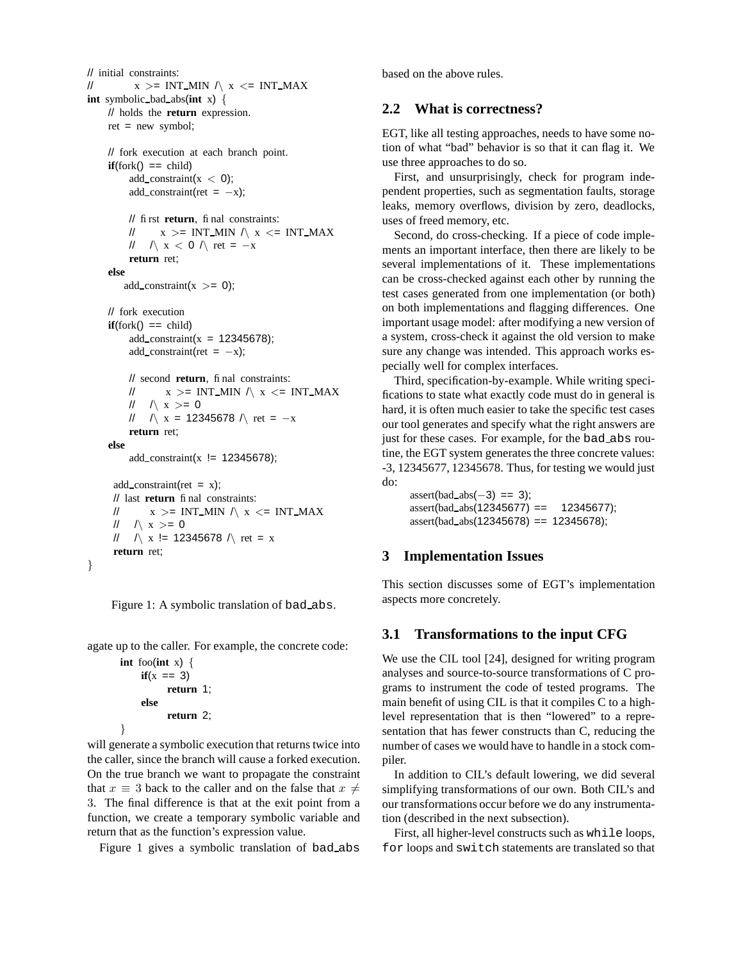```
// initial constraints:
// x > = INT_MIN \wedge x \leq INT_MAXint symbolic bad abs(int x) {
    // holds the return expression.
    ret = new symbol;
    // fork execution at each branch point.
    \textbf{if}(\text{fork}) == \text{child}add_constraint(x < 0);
         add_constraint(ret = -x);
         // first return, final constraints:
         // x > = INT_MIN / x \leq INT_MAX// \land x < 0 \land ret = −x
         return ret;
    else
        add_constraint(x \gt= 0);
    // fork execution
    if(fork() == child)add_constraint(x = 12345678);
         add_constraint(ret = -x);
         // second return, final constraints:
         // x > = INT MIN \land x \leq INT MAX
         // \land x >= 0
         // \land x = 12345678 \land ret = -xreturn ret;
    else
         add_constraint(x != 12345678);
     add_{\text{-}constraint}(ret = x);// last return final constraints:
     // x > = INT MIN \land x \leq = INT MAX
      \| \wedge x \rangle = 0// \sqrt{x} != 12345678 \sqrt{x} ret = x
     return ret;
}
```
agate up to the caller. For example, the concrete code:

```
int foo(int x) {
    if(x == 3)return 1;
    else
          return 2;
}
```
will generate a symbolic execution that returns twice into the caller, since the branch will cause a forked execution. On the true branch we want to propagate the constraint that  $x \equiv 3$  back to the caller and on the false that  $x \neq 0$ 3. The final difference is that at the exit point from a function, we create a temporary symbolic variable and return that as the function's expression value.

Figure 1 gives a symbolic translation of bad abs

based on the above rules.

### **2.2 What is correctness?**

EGT, like all testing approaches, needs to have some notion of what "bad" behavior is so that it can flag it. We use three approaches to do so.

First, and unsurprisingly, check for program independent properties, such as segmentation faults, storage leaks, memory overflows, division by zero, deadlocks, uses of freed memory, etc.

Second, do cross-checking. If a piece of code implements an important interface, then there are likely to be several implementations of it. These implementations can be cross-checked against each other by running the test cases generated from one implementation (or both) on both implementations and flagging differences. One important usage model: after modifying a new version of a system, cross-check it against the old version to make sure any change was intended. This approach works especially well for complex interfaces.

Third, specification-by-example. While writing specifications to state what exactly code must do in general is hard, it is often much easier to take the specific test cases our tool generates and specify what the right answers are just for these cases. For example, for the bad abs routine, the EGT system generates the three concrete values: -3, 12345677, 12345678. Thus, for testing we would just do:

 $assert(bad_abs(-3) == 3);$  $assert(bad_abs(12345677) == 12345677);$ assert(bad abs(12345678) == 12345678);

## **3 Implementation Issues**

This section discusses some of EGT's implementation aspects more concretely.

## **3.1 Transformations to the input CFG**

We use the CIL tool [24], designed for writing program analyses and source-to-source transformations of C programs to instrument the code of tested programs. The main benefit of using CIL is that it compiles C to a highlevel representation that is then "lowered" to a representation that has fewer constructs than C, reducing the number of cases we would have to handle in a stock compiler.

In addition to CIL's default lowering, we did several simplifying transformations of our own. Both CIL's and our transformations occur before we do any instrumentation (described in the next subsection).

First, all higher-level constructs such as while loops, for loops and switch statements are translated so that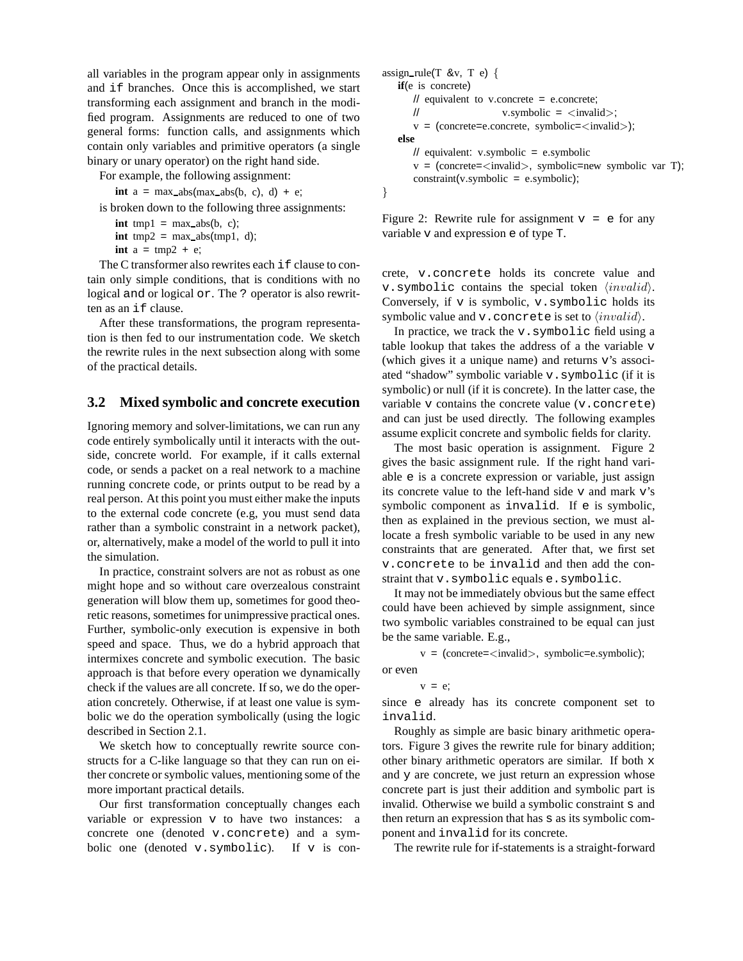all variables in the program appear only in assignments and if branches. Once this is accomplished, we start transforming each assignment and branch in the modified program. Assignments are reduced to one of two general forms: function calls, and assignments which contain only variables and primitive operators (a single binary or unary operator) on the right hand side.

For example, the following assignment:

**int**  $a = max\_abs(max\_abs(b, c), d) + e$ ;

is broken down to the following three assignments:

**int** tmp1 =  $max\_abs(b, c)$ ; **int** tmp2 = max\_abs(tmp1, d);

**int**  $a = \text{tmp2} + e$ ;

The C transformer also rewrites each  $if$  clause to contain only simple conditions, that is conditions with no logical and or logical or. The ? operator is also rewritten as an if clause.

After these transformations, the program representation is then fed to our instrumentation code. We sketch the rewrite rules in the next subsection along with some of the practical details.

#### **3.2 Mixed symbolic and concrete execution**

Ignoring memory and solver-limitations, we can run any code entirely symbolically until it interacts with the outside, concrete world. For example, if it calls external code, or sends a packet on a real network to a machine running concrete code, or prints output to be read by a real person. At this point you must either make the inputs to the external code concrete (e.g, you must send data rather than a symbolic constraint in a network packet), or, alternatively, make a model of the world to pull it into the simulation.

In practice, constraint solvers are not as robust as one might hope and so without care overzealous constraint generation will blow them up, sometimes for good theoretic reasons, sometimes for unimpressive practical ones. Further, symbolic-only execution is expensive in both speed and space. Thus, we do a hybrid approach that intermixes concrete and symbolic execution. The basic approach is that before every operation we dynamically check if the values are all concrete. If so, we do the operation concretely. Otherwise, if at least one value is symbolic we do the operation symbolically (using the logic described in Section 2.1.

We sketch how to conceptually rewrite source constructs for a C-like language so that they can run on either concrete or symbolic values, mentioning some of the more important practical details.

Our first transformation conceptually changes each variable or expression v to have two instances: a concrete one (denoted v.concrete) and a symbolic one (denoted v.symbolic). If v is con-

```
assign_rule(T &v, T e) {
   if(e is concrete)
       \frac{1}{2} equivalent to v.concrete = e.concrete;
       // v.symbolic = \langle invalid \rangle;
       v = (concrete = e-concrete, symbolic = <invalid>);
   else
       // equivalent: v.symbolic = e.symbolic
       v = (concrete = \langle invalid \rangle, symbolic = new symbolic var T);constraint(v.symbolic = e.symbolic);
}
```
Figure 2: Rewrite rule for assignment  $v = e$  for any variable v and expression e of type T.

crete, v.concrete holds its concrete value and v. symbolic contains the special token  $\langle invalid \rangle$ . Conversely, if  $v$  is symbolic,  $v$ . symbolic holds its symbolic value and  $v$ . concrete is set to  $\langle invalid\rangle$ .

In practice, we track the  $v$ . symbolic field using a table lookup that takes the address of a the variable v (which gives it a unique name) and returns v's associated "shadow" symbolic variable v.symbolic (if it is symbolic) or null (if it is concrete). In the latter case, the variable v contains the concrete value (v.concrete) and can just be used directly. The following examples assume explicit concrete and symbolic fields for clarity.

The most basic operation is assignment. Figure 2 gives the basic assignment rule. If the right hand variable e is a concrete expression or variable, just assign its concrete value to the left-hand side v and mark v's symbolic component as invalid. If e is symbolic, then as explained in the previous section, we must allocate a fresh symbolic variable to be used in any new constraints that are generated. After that, we first set v.concrete to be invalid and then add the constraint that v.symbolic equals e.symbolic.

It may not be immediately obvious but the same effect could have been achieved by simple assignment, since two symbolic variables constrained to be equal can just be the same variable. E.g.,

```
v = (concrete = \langle invalid \rangle, symbolic = e.symbolic);
```
or even

```
v = e;
```
since e already has its concrete component set to invalid.

Roughly as simple are basic binary arithmetic operators. Figure 3 gives the rewrite rule for binary addition; other binary arithmetic operators are similar. If both x and y are concrete, we just return an expression whose concrete part is just their addition and symbolic part is invalid. Otherwise we build a symbolic constraint s and then return an expression that has s as its symbolic component and invalid for its concrete.

The rewrite rule for if-statements is a straight-forward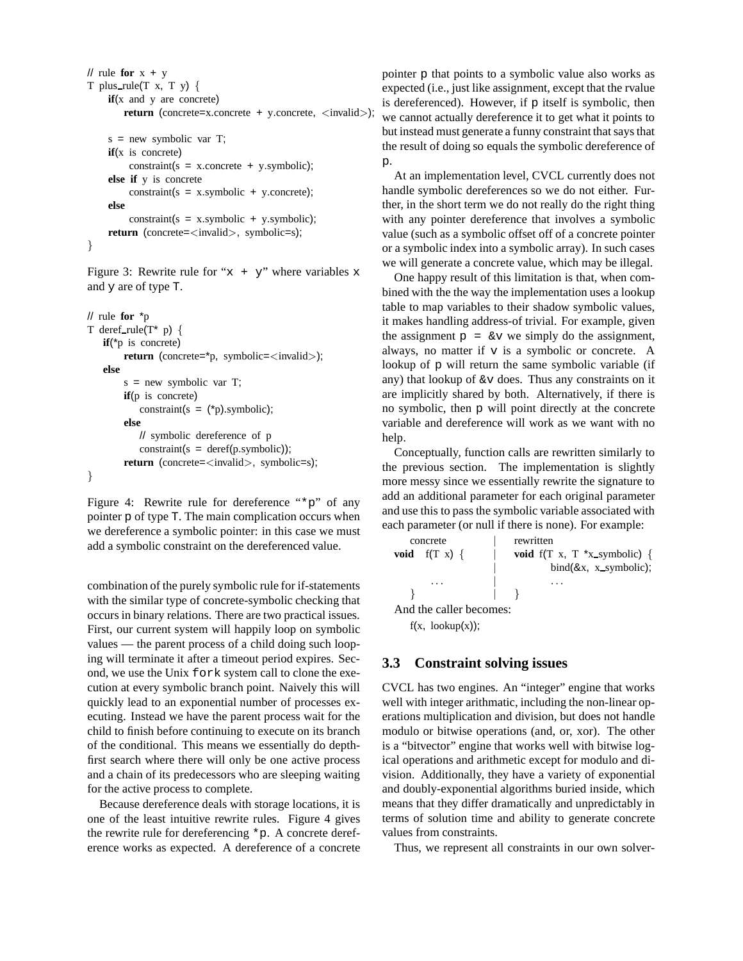```
// rule for x + yT plus_rule(T x, T, y) {
    if(x and y are concrete)
        return (concrete=x.concrete + y.concrete, <invalid>);
    s = new symbolic var T;if(x is concrete)
         constraint(s = xj.concrete + y.symbolic);
    else if y is concrete
         constraint(s = x.symbolic + y.concrete);
```

```
else
    constraint(s = x.symbolic + y.symbolic);return (concrete=\langleinvalid>, symbolic=s);
```

```
}
```
Figure 3: Rewrite rule for " $x + y$ " where variables x and y are of type T.

```
// rule for *p
T deref_rule(T^* p) {
   if(*p is concrete)
        return (concrete=*p, symbolic=<invalid>);
   else
        s = new symbolic var T;
        if(p is concrete)
           constraint(s = (*)).symbolic);
        else
           // symbolic dereference of p
           constraint(s = deref(p.symbolic));
        return (concrete=\langleinvalid>, symbolic=s);
}
```
Figure 4: Rewrite rule for dereference "\*p" of any pointer p of type T. The main complication occurs when we dereference a symbolic pointer: in this case we must add a symbolic constraint on the dereferenced value.

combination of the purely symbolic rule for if-statements with the similar type of concrete-symbolic checking that occurs in binary relations. There are two practical issues. First, our current system will happily loop on symbolic values — the parent process of a child doing such looping will terminate it after a timeout period expires. Second, we use the Unix fork system call to clone the execution at every symbolic branch point. Naively this will quickly lead to an exponential number of processes executing. Instead we have the parent process wait for the child to finish before continuing to execute on its branch of the conditional. This means we essentially do depthfirst search where there will only be one active process and a chain of its predecessors who are sleeping waiting for the active process to complete.

Because dereference deals with storage locations, it is one of the least intuitive rewrite rules. Figure 4 gives the rewrite rule for dereferencing \*p. A concrete dereference works as expected. A dereference of a concrete pointer p that points to a symbolic value also works as expected (i.e., just like assignment, except that the rvalue is dereferenced). However, if  $p$  itself is symbolic, then we cannot actually dereference it to get what it points to but instead must generate a funny constraint that saysthat the result of doing so equals the symbolic dereference of p.

At an implementation level, CVCL currently does not handle symbolic dereferences so we do not either. Further, in the short term we do not really do the right thing with any pointer dereference that involves a symbolic value (such as a symbolic offset off of a concrete pointer or a symbolic index into a symbolic array). In such cases we will generate a concrete value, which may be illegal.

One happy result of this limitation is that, when combined with the the way the implementation uses a lookup table to map variables to their shadow symbolic values, it makes handling address-of trivial. For example, given the assignment  $p = \&\text{v we simply do the assignment,}$ always, no matter if  $v$  is a symbolic or concrete. A lookup of p will return the same symbolic variable (if any) that lookup of  $\&\text{v}$  does. Thus any constraints on it are implicitly shared by both. Alternatively, if there is no symbolic, then p will point directly at the concrete variable and dereference will work as we want with no help.

Conceptually, function calls are rewritten similarly to the previous section. The implementation is slightly more messy since we essentially rewrite the signature to add an additional parameter for each original parameter and use this to pass the symbolic variable associated with each parameter (or null if there is none). For example:

```
concrete | rewritten
void f(T \ x) \ \{ \} void f(T \ x, T \ x \ x symbolic) {
                           bind(&x, x_symbolic);. . . | . . .
   } | }
And the caller becomes:
  f(x, \text{lookup}(x));
```
### **3.3 Constraint solving issues**

CVCL has two engines. An "integer" engine that works well with integer arithmatic, including the non-linear operations multiplication and division, but does not handle modulo or bitwise operations (and, or, xor). The other is a "bitvector" engine that works well with bitwise logical operations and arithmetic except for modulo and division. Additionally, they have a variety of exponential and doubly-exponential algorithms buried inside, which means that they differ dramatically and unpredictably in terms of solution time and ability to generate concrete values from constraints.

Thus, we represent all constraints in our own solver-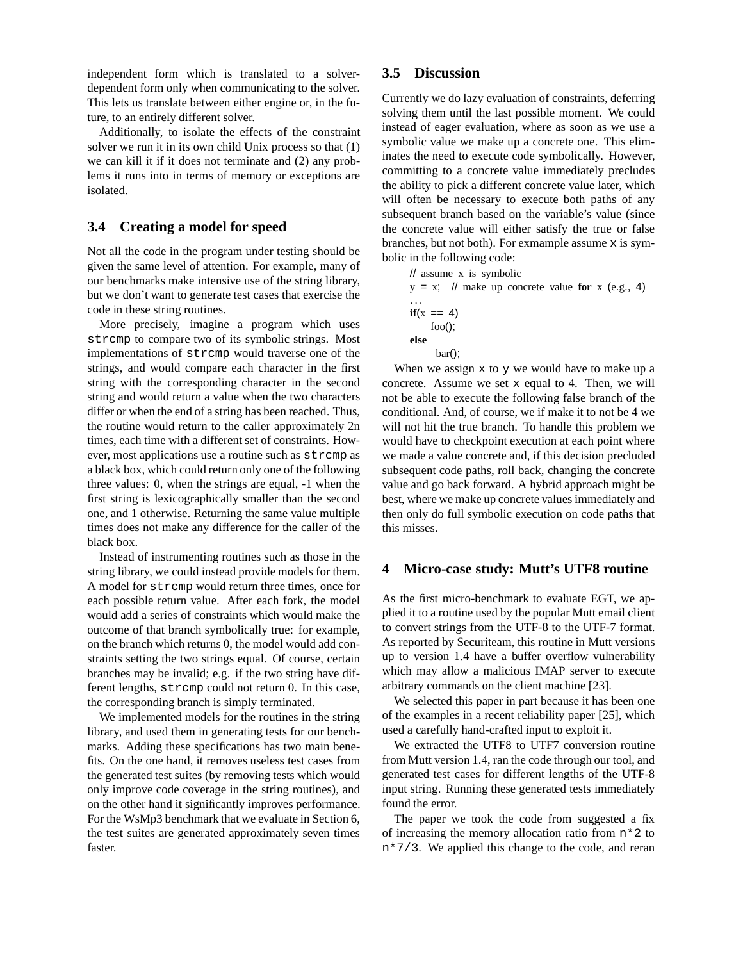independent form which is translated to a solverdependent form only when communicating to the solver. This lets us translate between either engine or, in the future, to an entirely different solver.

Additionally, to isolate the effects of the constraint solver we run it in its own child Unix process so that (1) we can kill it if it does not terminate and (2) any problems it runs into in terms of memory or exceptions are isolated.

### **3.4 Creating a model for speed**

Not all the code in the program under testing should be given the same level of attention. For example, many of our benchmarks make intensive use of the string library, but we don't want to generate test cases that exercise the code in these string routines.

More precisely, imagine a program which uses strcmp to compare two of its symbolic strings. Most implementations of strcmp would traverse one of the strings, and would compare each character in the first string with the corresponding character in the second string and would return a value when the two characters differ or when the end of a string has been reached. Thus, the routine would return to the caller approximately 2n times, each time with a different set of constraints. However, most applications use a routine such as strcmp as a black box, which could return only one of the following three values: 0, when the strings are equal, -1 when the first string is lexicographically smaller than the second one, and 1 otherwise. Returning the same value multiple times does not make any difference for the caller of the black box.

Instead of instrumenting routines such as those in the string library, we could instead provide models for them. A model for strcmp would return three times, once for each possible return value. After each fork, the model would add a series of constraints which would make the outcome of that branch symbolically true: for example, on the branch which returns 0, the model would add constraints setting the two strings equal. Of course, certain branches may be invalid; e.g. if the two string have different lengths, strcmp could not return 0. In this case, the corresponding branch is simply terminated.

We implemented models for the routines in the string library, and used them in generating tests for our benchmarks. Adding these specifications has two main benefits. On the one hand, it removes useless test cases from the generated test suites (by removing tests which would only improve code coverage in the string routines), and on the other hand it significantly improves performance. For the WsMp3 benchmark that we evaluate in Section 6, the test suites are generated approximately seven times faster.

## **3.5 Discussion**

Currently we do lazy evaluation of constraints, deferring solving them until the last possible moment. We could instead of eager evaluation, where as soon as we use a symbolic value we make up a concrete one. This eliminates the need to execute code symbolically. However, committing to a concrete value immediately precludes the ability to pick a different concrete value later, which will often be necessary to execute both paths of any subsequent branch based on the variable's value (since the concrete value will either satisfy the true or false branches, but not both). For exmample assume  $x$  is symbolic in the following code:

// assume x is symbolic  $y = x$ ; // make up concrete value **for** x (e.g., 4) . . .  $if(x == 4)$ foo(); **else** bar();

When we assign  $x$  to  $y$  we would have to make up a concrete. Assume we set x equal to 4. Then, we will not be able to execute the following false branch of the conditional. And, of course, we if make it to not be 4 we will not hit the true branch. To handle this problem we would have to checkpoint execution at each point where we made a value concrete and, if this decision precluded subsequent code paths, roll back, changing the concrete value and go back forward. A hybrid approach might be best, where we make up concrete values immediately and then only do full symbolic execution on code paths that this misses.

### **4 Micro-case study: Mutt's UTF8 routine**

As the first micro-benchmark to evaluate EGT, we applied it to a routine used by the popular Mutt email client to convert strings from the UTF-8 to the UTF-7 format. As reported by Securiteam, this routine in Mutt versions up to version 1.4 have a buffer overflow vulnerability which may allow a malicious IMAP server to execute arbitrary commands on the client machine [23].

We selected this paper in part because it has been one of the examples in a recent reliability paper [25], which used a carefully hand-crafted input to exploit it.

We extracted the UTF8 to UTF7 conversion routine from Mutt version 1.4, ran the code through our tool, and generated test cases for different lengths of the UTF-8 input string. Running these generated tests immediately found the error.

The paper we took the code from suggested a fix of increasing the memory allocation ratio from n\*2 to n\*7/3. We applied this change to the code, and reran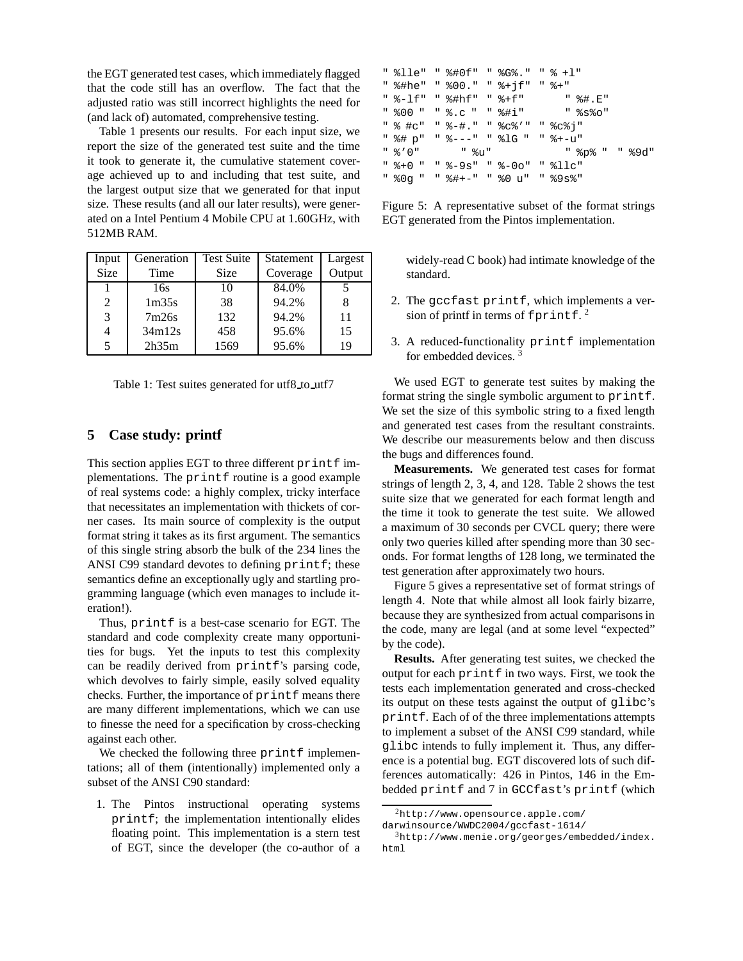the EGT generated test cases, which immediately flagged that the code still has an overflow. The fact that the adjusted ratio was still incorrect highlights the need for (and lack of) automated, comprehensive testing.

Table 1 presents our results. For each input size, we report the size of the generated test suite and the time it took to generate it, the cumulative statement coverage achieved up to and including that test suite, and the largest output size that we generated for that input size. These results (and all our later results), were generated on a Intel Pentium 4 Mobile CPU at 1.60GHz, with 512MB RAM.

| Input       | Generation        | <b>Test Suite</b> | Statement | Largest |
|-------------|-------------------|-------------------|-----------|---------|
| <b>Size</b> | Time              | Size              | Coverage  | Output  |
|             | 16s               | 10                | 84.0%     |         |
| 2           | 1 <sub>m35s</sub> | 38                | 94.2%     |         |
| 3           | 7m26s             | 132               | 94.2%     | 11      |
|             | 34m12s            | 458               | 95.6%     | 15      |
|             | 2h35m             | 1569              | 95.6%     | 19      |

Table 1: Test suites generated for utf8 to utf7

#### **5 Case study: printf**

This section applies EGT to three different printf implementations. The printf routine is a good example of real systems code: a highly complex, tricky interface that necessitates an implementation with thickets of corner cases. Its main source of complexity is the output format string it takes as its first argument. The semantics of this single string absorb the bulk of the 234 lines the ANSI C99 standard devotes to defining printf; these semantics define an exceptionally ugly and startling programming language (which even manages to include iteration!).

Thus, printf is a best-case scenario for EGT. The standard and code complexity create many opportunities for bugs. Yet the inputs to test this complexity can be readily derived from printf's parsing code, which devolves to fairly simple, easily solved equality checks. Further, the importance of printf means there are many different implementations, which we can use to finesse the need for a specification by cross-checking against each other.

We checked the following three printf implementations; all of them (intentionally) implemented only a subset of the ANSI C90 standard:

1. The Pintos instructional operating systems printf; the implementation intentionally elides floating point. This implementation is a stern test of EGT, since the developer (the co-author of a

| " %lle" " %#0f" " %G%." " % +l" |  |  |                                  |
|---------------------------------|--|--|----------------------------------|
| " %#he" " %00." " %+jf" " %+"   |  |  |                                  |
|                                 |  |  | " %-lf" " %#hf" " %+f" " " %#.E" |
|                                 |  |  | " %00 " " %.c " " %#i" " %s%o"   |
| " % #c" " %-#." " %c%'" " %c%i" |  |  |                                  |
| "%# p" "%---" "%lG " "%+-u"     |  |  |                                  |
|                                 |  |  | " %p% " " %9d"                   |
| " %+0 " " %-9s" " %-0o" " %llc" |  |  |                                  |
| " %0g " " %#+-" " %0 u" " %9s%" |  |  |                                  |

Figure 5: A representative subset of the format strings EGT generated from the Pintos implementation.

widely-read C book) had intimate knowledge of the standard.

- 2. The gccfast printf, which implements a version of printf in terms of  $f$ printf.<sup>2</sup>
- 3. A reduced-functionality printf implementation for embedded devices. <sup>3</sup>

We used EGT to generate test suites by making the format string the single symbolic argument to printf. We set the size of this symbolic string to a fixed length and generated test cases from the resultant constraints. We describe our measurements below and then discuss the bugs and differences found.

**Measurements.** We generated test cases for format strings of length 2, 3, 4, and 128. Table 2 shows the test suite size that we generated for each format length and the time it took to generate the test suite. We allowed a maximum of 30 seconds per CVCL query; there were only two queries killed after spending more than 30 seconds. For format lengths of 128 long, we terminated the test generation after approximately two hours.

Figure 5 gives a representative set of format strings of length 4. Note that while almost all look fairly bizarre, because they are synthesized from actual comparisons in the code, many are legal (and at some level "expected" by the code).

**Results.** After generating test suites, we checked the output for each printf in two ways. First, we took the tests each implementation generated and cross-checked its output on these tests against the output of glibc's printf. Each of of the three implementations attempts to implement a subset of the ANSI C99 standard, while glibc intends to fully implement it. Thus, any difference is a potential bug. EGT discovered lots of such differences automatically: 426 in Pintos, 146 in the Embedded printf and 7 in GCCfast's printf (which

 $^{2}$ http://www.opensource.apple.com/

darwinsource/WWDC2004/gccfast-1614/

 $3$ http://www.menie.org/georges/embedded/index. html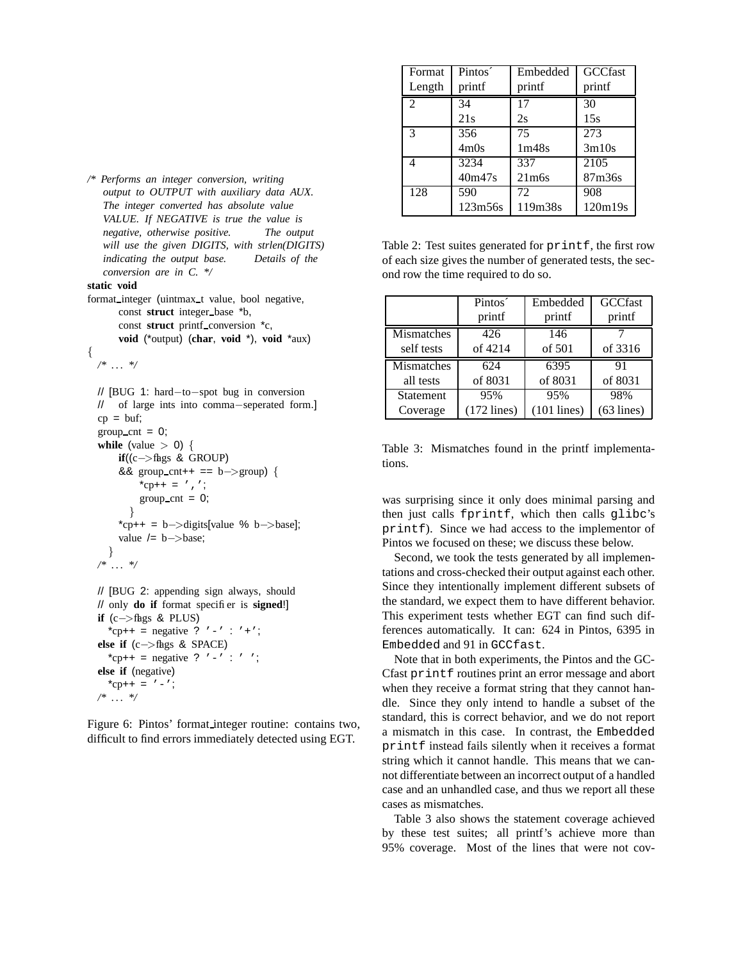| Format | Pintos <sup>2</sup> | Embedded | <b>GCCfast</b> |
|--------|---------------------|----------|----------------|
| Length | printf              | printf   | printf         |
| 2      | 34                  | 17       | 30             |
|        | 21s                 | 2s       | 15s            |
| 3      | 356                 | 75       | 273            |
|        | 4m0s                | 1m48s    | 3m10s          |
| 4      | 3234                | 337      | 2105           |
|        | 40m47s              | $21m$ 6s | 87m36s         |
| 128    | 590                 | 72       | 908            |
|        | 123m56s             | 119m38s  | 120m19s        |

Table 2: Test suites generated for printf, the first row of each size gives the number of generated tests, the second row the time required to do so.

|            | Pintos <sup>2</sup> | Embedded      | <b>GCCfast</b> |
|------------|---------------------|---------------|----------------|
|            | printf              | printf        | printf         |
| Mismatches | 426                 | 146           |                |
| self tests | of 4214             | of 501        | of 3316        |
| Mismatches | 624                 | 6395          | 91             |
| all tests  | of 8031             | of 8031       | of 8031        |
| Statement  | 95%                 | 95%           | 98%            |
| Coverage   | $(172$ lines)       | $(101$ lines) | $(63$ lines)   |

Table 3: Mismatches found in the printf implementations.

was surprising since it only does minimal parsing and then just calls fprintf, which then calls glibc's printf). Since we had access to the implementor of Pintos we focused on these; we discuss these below.

Second, we took the tests generated by all implementations and cross-checked their output against each other. Since they intentionally implement different subsets of the standard, we expect them to have different behavior. This experiment tests whether EGT can find such differences automatically. It can: 624 in Pintos, 6395 in Embedded and 91 in GCCfast.

Note that in both experiments, the Pintos and the GC-Cfast printf routines print an error message and abort when they receive a format string that they cannot handle. Since they only intend to handle a subset of the standard, this is correct behavior, and we do not report a mismatch in this case. In contrast, the Embedded printf instead fails silently when it receives a format string which it cannot handle. This means that we cannot differentiate between an incorrect output of a handled case and an unhandled case, and thus we report all these cases as mismatches.

Table 3 also shows the statement coverage achieved by these test suites; all printf's achieve more than 95% coverage. Most of the lines that were not cov-

*/\* Performs an integer conversion, writing output to OUTPUT with auxiliary data AUX. The integer converted has absolute value VALUE. If NEGATIVE is true the value is negative, otherwise positive. The output will use the given DIGITS, with strlen(DIGITS) indicating the output base. Details of the conversion are in C. \*/*

#### **static void**

format\_integer (uintmax\_t value, bool negative, const **struct** integer\_base \*b, const **struct** printf conversion  $^*c$ , **void** (\*output) (**char**, **void** \*), **void** \*aux)

```
{
```

```
/* . . . */
```

```
// [BUG 1: hard−to−spot bug in conversion
// of large ints into comma−seperated form.]
cp = but;group_cnt = 0;while (value > 0) {
    if((c−>flags & GROUP)
    && group_cnt++ == b->group) {
        *cp++ = ', ;
        group_cnt = 0;}
    *cp++ = b->digits[value % b->base];
    value /= b ->base;
  }
/* . . . */
// [BUG 2: appending sign always, should
```

```
// only do if format specifier is signed!]
if (c\rightarrowflags & PLUS)
  *cp++ = negative ? '-' : '+';
else if (c−>flags & SPACE)
  *cp++ = negative ? '-' : ' ';
else if (negative)
  *cp++ = ' -;
/* . . . */
```
Figure 6: Pintos' format integer routine: contains two, difficult to find errors immediately detected using EGT.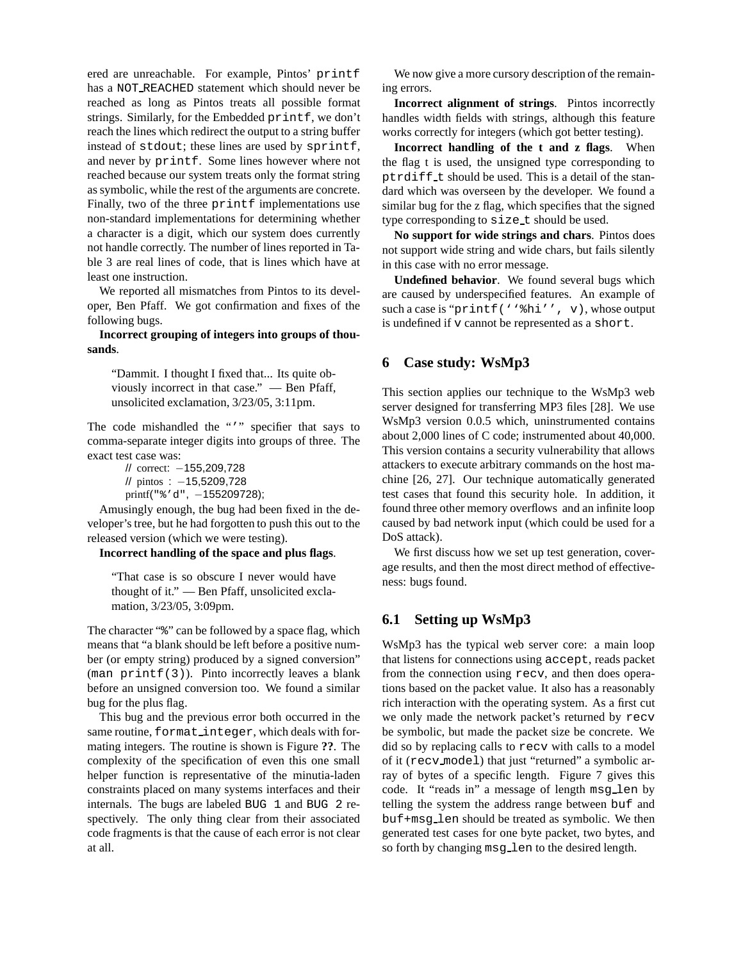ered are unreachable. For example, Pintos' printf has a NOT REACHED statement which should never be reached as long as Pintos treats all possible format strings. Similarly, for the Embedded printf, we don't reach the lines which redirect the output to a string buffer instead of stdout; these lines are used by sprintf, and never by printf. Some lines however where not reached because our system treats only the format string as symbolic, while the rest of the arguments are concrete. Finally, two of the three printf implementations use non-standard implementations for determining whether a character is a digit, which our system does currently not handle correctly. The number of lines reported in Table 3 are real lines of code, that is lines which have at least one instruction.

We reported all mismatches from Pintos to its developer, Ben Pfaff. We got confirmation and fixes of the following bugs.

#### **Incorrect grouping of integers into groups of thousands**.

"Dammit. I thought I fixed that... Its quite obviously incorrect in that case." — Ben Pfaff, unsolicited exclamation, 3/23/05, 3:11pm.

The code mishandled the "'" specifier that says to comma-separate integer digits into groups of three. The exact test case was:

// correct: −155,209,728 // pintos : −15,5209,728 printf("%'d", -155209728);

Amusingly enough, the bug had been fixed in the developer's tree, but he had forgotten to push this out to the released version (which we were testing).

**Incorrect handling of the space and plus flags**.

"That case is so obscure I never would have thought of it." — Ben Pfaff, unsolicited exclamation, 3/23/05, 3:09pm.

The character "%" can be followed by a space flag, which means that "a blank should be left before a positive number (or empty string) produced by a signed conversion" (man printf(3)). Pinto incorrectly leaves a blank before an unsigned conversion too. We found a similar bug for the plus flag.

This bug and the previous error both occurred in the same routine, format integer, which deals with formating integers. The routine is shown is Figure **??**. The complexity of the specification of even this one small helper function is representative of the minutia-laden constraints placed on many systems interfaces and their internals. The bugs are labeled BUG 1 and BUG 2 respectively. The only thing clear from their associated code fragments is that the cause of each error is not clear at all.

We now give a more cursory description of the remaining errors.

**Incorrect alignment of strings**. Pintos incorrectly handles width fields with strings, although this feature works correctly for integers (which got better testing).

**Incorrect handling of the t and z flags**. When the flag t is used, the unsigned type corresponding to ptrdiff t should be used. This is a detail of the standard which was overseen by the developer. We found a similar bug for the z flag, which specifies that the signed type corresponding to  $size_t$  should be used.

**No support for wide strings and chars**. Pintos does not support wide string and wide chars, but fails silently in this case with no error message.

**Undefined behavior**. We found several bugs which are caused by underspecified features. An example of such a case is "printf(''%hi'', v), whose output is undefined if v cannot be represented as a short.

#### **6 Case study: WsMp3**

This section applies our technique to the WsMp3 web server designed for transferring MP3 files [28]. We use WsMp3 version 0.0.5 which, uninstrumented contains about 2,000 lines of C code; instrumented about 40,000. This version contains a security vulnerability that allows attackers to execute arbitrary commands on the host machine [26, 27]. Our technique automatically generated test cases that found this security hole. In addition, it found three other memory overflows and an infinite loop caused by bad network input (which could be used for a DoS attack).

We first discuss how we set up test generation, coverage results, and then the most direct method of effectiveness: bugs found.

## **6.1 Setting up WsMp3**

WsMp3 has the typical web server core: a main loop that listens for connections using accept, reads packet from the connection using recv, and then does operations based on the packet value. It also has a reasonably rich interaction with the operating system. As a first cut we only made the network packet's returned by recv be symbolic, but made the packet size be concrete. We did so by replacing calls to recv with calls to a model of it (recv model) that just "returned" a symbolic array of bytes of a specific length. Figure 7 gives this code. It "reads in" a message of length msg len by telling the system the address range between buf and buf+msg len should be treated as symbolic. We then generated test cases for one byte packet, two bytes, and so forth by changing msg len to the desired length.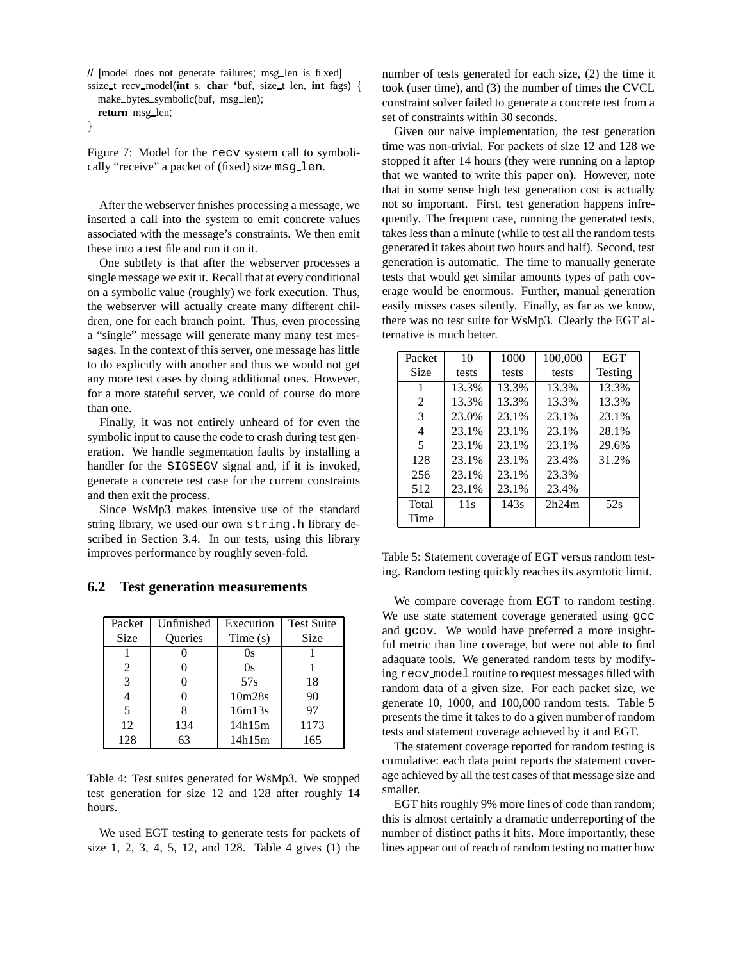```
// [model does not generate failures; msg len is fixed]
ssize_t recv_model(int s, char *buf, size_t len, int f h g s) {
  make bytes symbolic(buf, msg len);
  return msg len;
```

```
}
```
Figure 7: Model for the recv system call to symbolically "receive" a packet of (fixed) size msg\_len.

After the webserver finishes processing a message, we inserted a call into the system to emit concrete values associated with the message's constraints. We then emit these into a test file and run it on it.

One subtlety is that after the webserver processes a single message we exit it. Recall that at every conditional on a symbolic value (roughly) we fork execution. Thus, the webserver will actually create many different children, one for each branch point. Thus, even processing a "single" message will generate many many test messages. In the context of this server, one message has little to do explicitly with another and thus we would not get any more test cases by doing additional ones. However, for a more stateful server, we could of course do more than one.

Finally, it was not entirely unheard of for even the symbolic input to cause the code to crash during test generation. We handle segmentation faults by installing a handler for the SIGSEGV signal and, if it is invoked, generate a concrete test case for the current constraints and then exit the process.

Since WsMp3 makes intensive use of the standard string library, we used our own string.h library described in Section 3.4. In our tests, using this library improves performance by roughly seven-fold.

#### **6.2 Test generation measurements**

| Packet        | Unfinished     | Execution                       | <b>Test Suite</b> |
|---------------|----------------|---------------------------------|-------------------|
| Size          | <b>Oueries</b> | Time(s)                         | Size              |
|               |                | Os                              |                   |
| 2             |                | 0s                              |                   |
| $\mathcal{R}$ |                | 57s                             | 18                |
|               |                | 10 <sub>m</sub> 28 <sub>s</sub> | 90                |
| 5             |                | 16m13s                          | 97                |
| 12            | 134            | 14h15m                          | 1173              |
| 128           | 63             | 14h15m                          | 165               |

Table 4: Test suites generated for WsMp3. We stopped test generation for size 12 and 128 after roughly 14 hours.

We used EGT testing to generate tests for packets of size 1, 2, 3, 4, 5, 12, and 128. Table 4 gives (1) the number of tests generated for each size, (2) the time it took (user time), and (3) the number of times the CVCL constraint solver failed to generate a concrete test from a set of constraints within 30 seconds.

Given our naive implementation, the test generation time was non-trivial. For packets of size 12 and 128 we stopped it after 14 hours (they were running on a laptop that we wanted to write this paper on). However, note that in some sense high test generation cost is actually not so important. First, test generation happens infrequently. The frequent case, running the generated tests, takes less than a minute (while to test all the random tests generated it takes about two hours and half). Second, test generation is automatic. The time to manually generate tests that would get similar amounts types of path coverage would be enormous. Further, manual generation easily misses cases silently. Finally, as far as we know, there was no test suite for WsMp3. Clearly the EGT alternative is much better.

| Packet         | 10    | 1000  | 100,000 | <b>EGT</b>     |
|----------------|-------|-------|---------|----------------|
| Size           | tests | tests | tests   | <b>Testing</b> |
| 1              | 13.3% | 13.3% | 13.3%   | 13.3%          |
| $\mathfrak{D}$ | 13.3% | 13.3% | 13.3%   | 13.3%          |
| 3              | 23.0% | 23.1% | 23.1%   | 23.1%          |
| 4              | 23.1% | 23.1% | 23.1%   | 28.1%          |
| 5              | 23.1% | 23.1% | 23.1%   | 29.6%          |
| 128            | 23.1% | 23.1% | 23.4%   | 31.2%          |
| 256            | 23.1% | 23.1% | 23.3%   |                |
| 512            | 23.1% | 23.1% | 23.4%   |                |
| Total          | 11s   | 143s  | 2h24m   | 52s            |
| Time           |       |       |         |                |

Table 5: Statement coverage of EGT versus random testing. Random testing quickly reaches its asymtotic limit.

We compare coverage from EGT to random testing. We use state statement coverage generated using gcc and gcov. We would have preferred a more insightful metric than line coverage, but were not able to find adaquate tools. We generated random tests by modifying recv model routine to request messages filled with random data of a given size. For each packet size, we generate 10, 1000, and 100,000 random tests. Table 5 presents the time it takes to do a given number of random tests and statement coverage achieved by it and EGT.

The statement coverage reported for random testing is cumulative: each data point reports the statement coverage achieved by all the test cases of that message size and smaller.

EGT hits roughly 9% more lines of code than random; this is almost certainly a dramatic underreporting of the number of distinct paths it hits. More importantly, these lines appear out of reach of random testing no matter how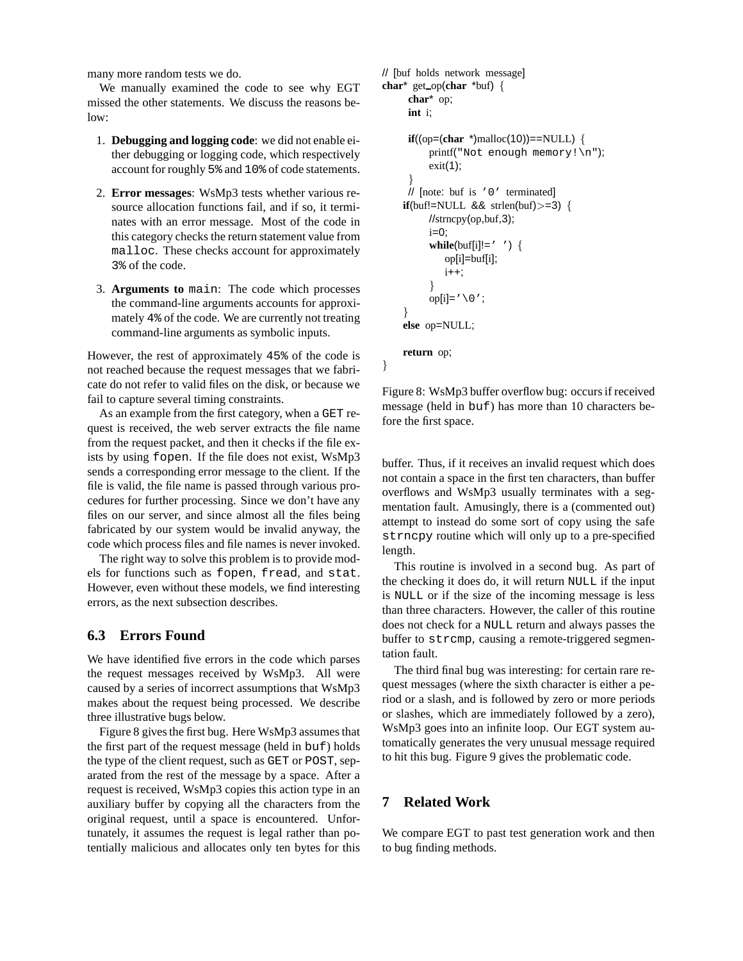many more random tests we do.

We manually examined the code to see why EGT missed the other statements. We discuss the reasons below:

- 1. **Debugging and logging code**: we did not enable either debugging or logging code, which respectively account for roughly 5% and 10% of code statements.
- 2. **Error messages**: WsMp3 tests whether various resource allocation functions fail, and if so, it terminates with an error message. Most of the code in this category checks the return statement value from malloc. These checks account for approximately 3% of the code.
- 3. **Arguments to** main: The code which processes the command-line arguments accounts for approximately 4% of the code. We are currently not treating command-line arguments as symbolic inputs.

However, the rest of approximately 45% of the code is not reached because the request messages that we fabricate do not refer to valid files on the disk, or because we fail to capture several timing constraints.

As an example from the first category, when a GET request is received, the web server extracts the file name from the request packet, and then it checks if the file exists by using fopen. If the file does not exist, WsMp3 sends a corresponding error message to the client. If the file is valid, the file name is passed through various procedures for further processing. Since we don't have any files on our server, and since almost all the files being fabricated by our system would be invalid anyway, the code which process files and file names is never invoked.

The right way to solve this problem is to provide models for functions such as fopen, fread, and stat. However, even without these models, we find interesting errors, as the next subsection describes.

## **6.3 Errors Found**

We have identified five errors in the code which parses the request messages received by WsMp3. All were caused by a series of incorrect assumptions that WsMp3 makes about the request being processed. We describe three illustrative bugs below.

Figure 8 gives the first bug. Here WsMp3 assumes that the first part of the request message (held in buf) holds the type of the client request, such as GET or POST, separated from the rest of the message by a space. After a request is received, WsMp3 copies this action type in an auxiliary buffer by copying all the characters from the original request, until a space is encountered. Unfortunately, it assumes the request is legal rather than potentially malicious and allocates only ten bytes for this

```
// [buf holds network message]
char* get op(char *buf) {
     char* op;
     int i;
     if((op=(char * )\text{malloc}(10))=-NULL) {
          printf("Not enough memory!\n");
          exit(1);}
     // [note: buf is '0' terminated]
    if(buf!=NULL \& sthen(buf)>=3) {
          //strncpy(op,buf,3);
          i=0;
          while(buf[i]!=' ') {
             op[i]=buf[i];
             i++;}
          op[i]='\setminus 0';
     }
    else op=NULL;
    return op;
}
```
Figure 8: WsMp3 buffer overflow bug: occurs if received message (held in buf) has more than 10 characters before the first space.

buffer. Thus, if it receives an invalid request which does not contain a space in the first ten characters, than buffer overflows and WsMp3 usually terminates with a segmentation fault. Amusingly, there is a (commented out) attempt to instead do some sort of copy using the safe strncpy routine which will only up to a pre-specified length.

This routine is involved in a second bug. As part of the checking it does do, it will return NULL if the input is NULL or if the size of the incoming message is less than three characters. However, the caller of this routine does not check for a NULL return and always passes the buffer to strcmp, causing a remote-triggered segmentation fault.

The third final bug was interesting: for certain rare request messages (where the sixth character is either a period or a slash, and is followed by zero or more periods or slashes, which are immediately followed by a zero), WsMp3 goes into an infinite loop. Our EGT system automatically generates the very unusual message required to hit this bug. Figure 9 gives the problematic code.

## **7 Related Work**

We compare EGT to past test generation work and then to bug finding methods.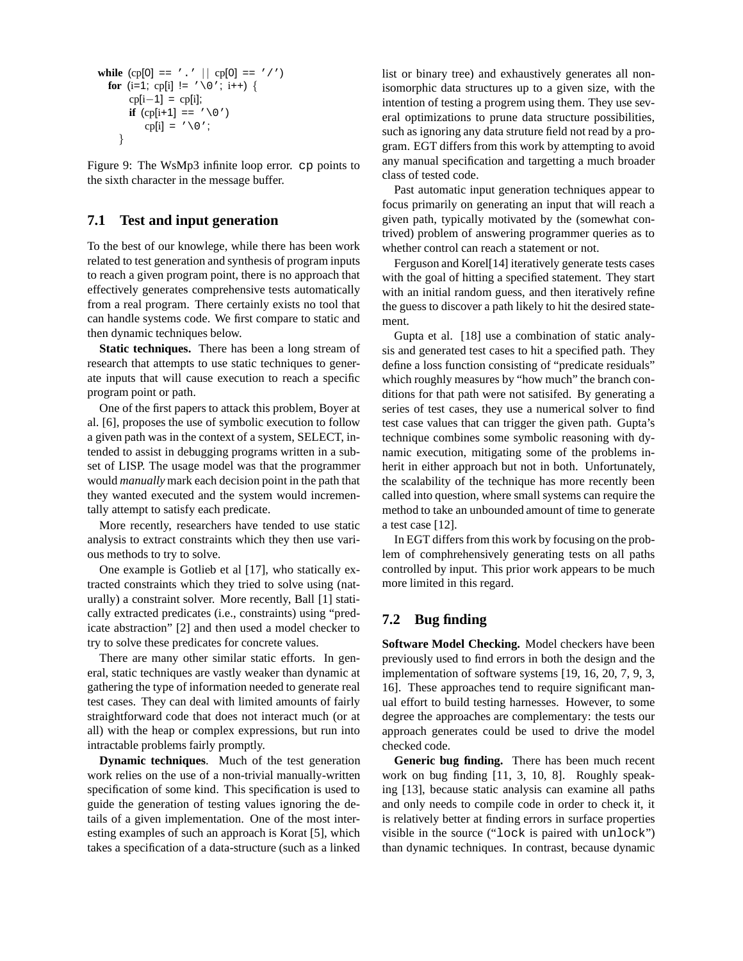```
while (cp[0] == '.' || cp[0] == '/')
  for (i=1; cp[i] != '\0'; i++) {
        \text{cpli}-1\text{]} = \text{cpli};if (cp[i+1] == ' \setminus 0')
            cp[i] = \prime \setminus 0;
     }
```
Figure 9: The WsMp3 infinite loop error. cp points to the sixth character in the message buffer.

### **7.1 Test and input generation**

To the best of our knowlege, while there has been work related to test generation and synthesis of program inputs to reach a given program point, there is no approach that effectively generates comprehensive tests automatically from a real program. There certainly exists no tool that can handle systems code. We first compare to static and then dynamic techniques below.

**Static techniques.** There has been a long stream of research that attempts to use static techniques to generate inputs that will cause execution to reach a specific program point or path.

One of the first papers to attack this problem, Boyer at al. [6], proposes the use of symbolic execution to follow a given path was in the context of a system, SELECT, intended to assist in debugging programs written in a subset of LISP. The usage model was that the programmer would *manually* mark each decision point in the path that they wanted executed and the system would incrementally attempt to satisfy each predicate.

More recently, researchers have tended to use static analysis to extract constraints which they then use various methods to try to solve.

One example is Gotlieb et al [17], who statically extracted constraints which they tried to solve using (naturally) a constraint solver. More recently, Ball [1] statically extracted predicates (i.e., constraints) using "predicate abstraction" [2] and then used a model checker to try to solve these predicates for concrete values.

There are many other similar static efforts. In general, static techniques are vastly weaker than dynamic at gathering the type of information needed to generate real test cases. They can deal with limited amounts of fairly straightforward code that does not interact much (or at all) with the heap or complex expressions, but run into intractable problems fairly promptly.

**Dynamic techniques**. Much of the test generation work relies on the use of a non-trivial manually-written specification of some kind. This specification is used to guide the generation of testing values ignoring the details of a given implementation. One of the most interesting examples of such an approach is Korat [5], which takes a specification of a data-structure (such as a linked list or binary tree) and exhaustively generates all nonisomorphic data structures up to a given size, with the intention of testing a progrem using them. They use several optimizations to prune data structure possibilities, such as ignoring any data struture field not read by a program. EGT differs from this work by attempting to avoid any manual specification and targetting a much broader class of tested code.

Past automatic input generation techniques appear to focus primarily on generating an input that will reach a given path, typically motivated by the (somewhat contrived) problem of answering programmer queries as to whether control can reach a statement or not.

Ferguson and Korel[14] iteratively generate tests cases with the goal of hitting a specified statement. They start with an initial random guess, and then iteratively refine the guess to discover a path likely to hit the desired statement.

Gupta et al. [18] use a combination of static analysis and generated test cases to hit a specified path. They define a loss function consisting of "predicate residuals" which roughly measures by "how much" the branch conditions for that path were not satisifed. By generating a series of test cases, they use a numerical solver to find test case values that can trigger the given path. Gupta's technique combines some symbolic reasoning with dynamic execution, mitigating some of the problems inherit in either approach but not in both. Unfortunately, the scalability of the technique has more recently been called into question, where small systems can require the method to take an unbounded amount of time to generate a test case [12].

In EGT differs from this work by focusing on the problem of comphrehensively generating tests on all paths controlled by input. This prior work appears to be much more limited in this regard.

### **7.2 Bug finding**

**Software Model Checking.** Model checkers have been previously used to find errors in both the design and the implementation of software systems [19, 16, 20, 7, 9, 3, 16]. These approaches tend to require significant manual effort to build testing harnesses. However, to some degree the approaches are complementary: the tests our approach generates could be used to drive the model checked code.

**Generic bug finding.** There has been much recent work on bug finding [11, 3, 10, 8]. Roughly speaking [13], because static analysis can examine all paths and only needs to compile code in order to check it, it is relatively better at finding errors in surface properties visible in the source ("lock is paired with unlock") than dynamic techniques. In contrast, because dynamic